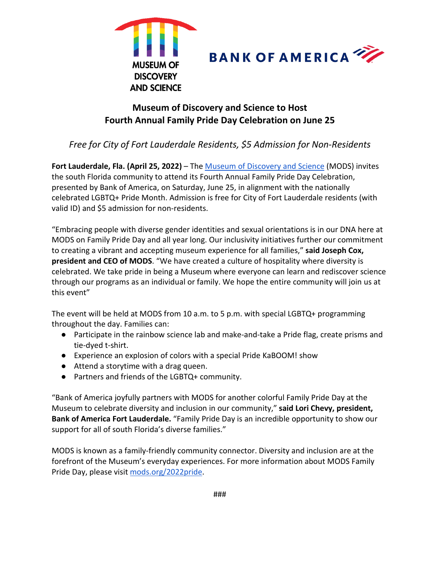



# **Museum of Discovery and Science to Host Fourth Annual Family Pride Day Celebration on June 25**

## *Free for City of Fort Lauderdale Residents, \$5 Admission for Non-Residents*

Fort Lauderdale, Fla. (April 25, 2022) – The [Museum of Discovery and Science](http://www.mods.org/) (MODS) invites the south Florida community to attend its Fourth Annual Family Pride Day Celebration, presented by Bank of America, on Saturday, June 25, in alignment with the nationally celebrated LGBTQ+ Pride Month. Admission is free for City of Fort Lauderdale residents (with valid ID) and \$5 admission for non-residents.

"Embracing people with diverse gender identities and sexual orientations is in our DNA here at MODS on Family Pride Day and all year long. Our inclusivity initiatives further our commitment to creating a vibrant and accepting museum experience for all families," **said Joseph Cox, president and CEO of MODS**. "We have created a culture of hospitality where diversity is celebrated. We take pride in being a Museum where everyone can learn and rediscover science through our programs as an individual or family. We hope the entire community will join us at this event"

The event will be held at MODS from 10 a.m. to 5 p.m. with special LGBTQ+ programming throughout the day. Families can:

- Participate in the rainbow science lab and make-and-take a Pride flag, create prisms and tie-dyed t-shirt.
- Experience an explosion of colors with a special Pride KaBOOM! show
- Attend a storytime with a drag queen.
- Partners and friends of the LGBTQ+ community.

"Bank of America joyfully partners with MODS for another colorful Family Pride Day at the Museum to celebrate diversity and inclusion in our community," **said Lori Chevy, president, Bank of America Fort Lauderdale.** "Family Pride Day is an incredible opportunity to show our support for all of south Florida's diverse families."

MODS is known as a family-friendly community connector. Diversity and inclusion are at the forefront of the Museum's everyday experiences. For more information about MODS Family Pride Day, please visit [mods.org/2022pride.](http://mods.org/2022pride)